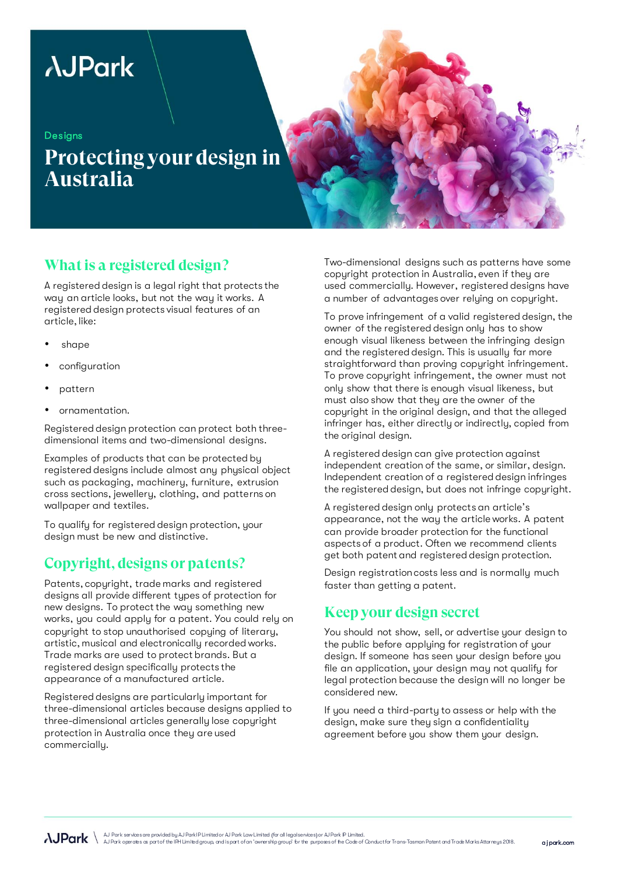# **AJPark**

**Designs** 

## **Protecting your design in Australia**

### **What is a registered design?**

A registered design is a legal right that protects the way an article looks, but not the way it works. A registered design protects visual features of an article, like:

- shape
- configuration
- pattern
- ornamentation.

Registered design protection can protect both threedimensional items and two-dimensional designs.

Examples of products that can be protected by registered designs include almost any physical object such as packaging, machinery, furniture, extrusion cross sections, jewellery, clothing, and patterns on wallpaper and textiles.

To qualify for registered design protection, your design must be new and distinctive.

#### **Copyright, designs or patents?**

Patents, copyright, trade marks and registered designs all provide different types of protection for new designs. To protect the way something new works, you could apply for a patent. You could rely on copyright to stop unauthorised copying of literary, artistic, musical and electronically recorded works. Trade marks are used to protect brands. But a registered design specifically protects the appearance of a manufactured article.

Registered designs are particularly important for three-dimensional articles because designs applied to three-dimensional articles generally lose copyright protection in Australia once they are used commercially.

Two-dimensional designs such as patterns have some copyright protection in Australia, even if they are used commercially. However, registered designs have a number of advantages over relying on copyright.

To prove infringement of a valid registered design, the owner of the registered design only has to show enough visual likeness between the infringing design and the registered design. This is usually far more straightforward than proving copyright infringement. To prove copyright infringement, the owner must not only show that there is enough visual likeness, but must also show that they are the owner of the copyright in the original design, and that the alleged infringer has, either directly or indirectly, copied from the original design.

A registered design can give protection against independent creation of the same, or similar, design. Independent creation of a registered design infringes the registered design, but does not infringe copyright.

A registered design only protects an article's appearance, not the way the article works. A patent can provide broader protection for the functional aspects of a product. Often we recommend clients get both patent and registered design protection.

Design registration costs less and is normally much faster than getting a patent.

#### **Keep your design secret**

You should not show, sell, or advertise your design to the public before applying for registration of your design. If someone has seen your design before you file an application, your design may not qualify for legal protection because the design will no longer be considered new.

If you need a third-party to assess or help with the design, make sure they sign a confidentiality agreement before you show them your design.